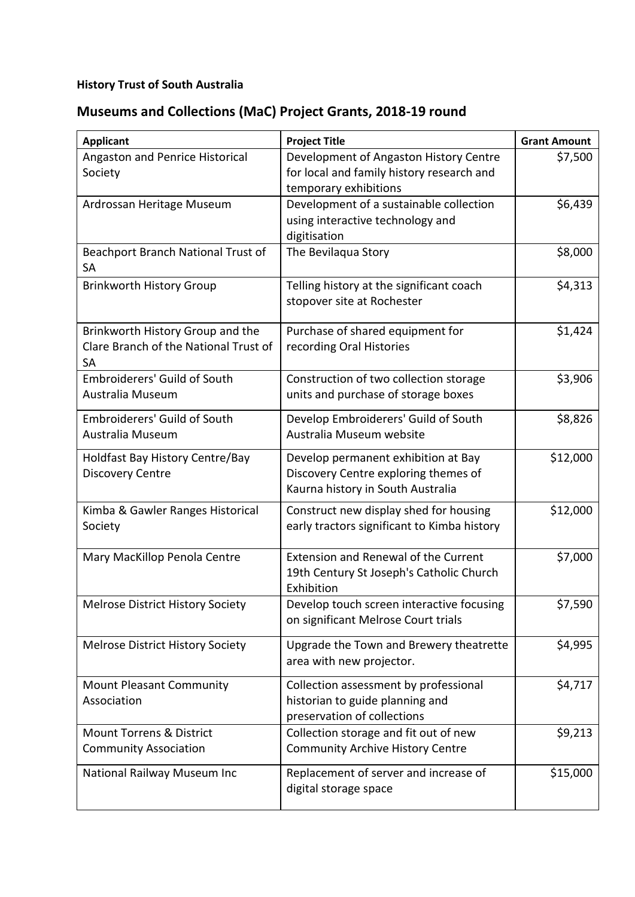## **History Trust of South Australia**

## **Museums and Collections (MaC) Project Grants, 2018-19 round**

| <b>Applicant</b>                                                                       | <b>Project Title</b>                                                                                             | <b>Grant Amount</b> |
|----------------------------------------------------------------------------------------|------------------------------------------------------------------------------------------------------------------|---------------------|
| Angaston and Penrice Historical<br>Society                                             | Development of Angaston History Centre<br>for local and family history research and<br>temporary exhibitions     | \$7,500             |
| Ardrossan Heritage Museum                                                              | Development of a sustainable collection<br>using interactive technology and<br>digitisation                      | \$6,439             |
| Beachport Branch National Trust of<br><b>SA</b>                                        | The Bevilaqua Story                                                                                              | \$8,000             |
| <b>Brinkworth History Group</b>                                                        | Telling history at the significant coach<br>stopover site at Rochester                                           | \$4,313             |
| Brinkworth History Group and the<br>Clare Branch of the National Trust of<br><b>SA</b> | Purchase of shared equipment for<br>recording Oral Histories                                                     | \$1,424             |
| <b>Embroiderers' Guild of South</b><br>Australia Museum                                | Construction of two collection storage<br>units and purchase of storage boxes                                    | \$3,906             |
| <b>Embroiderers' Guild of South</b><br>Australia Museum                                | Develop Embroiderers' Guild of South<br>Australia Museum website                                                 | \$8,826             |
| Holdfast Bay History Centre/Bay<br><b>Discovery Centre</b>                             | Develop permanent exhibition at Bay<br>Discovery Centre exploring themes of<br>Kaurna history in South Australia | \$12,000            |
| Kimba & Gawler Ranges Historical<br>Society                                            | Construct new display shed for housing<br>early tractors significant to Kimba history                            | \$12,000            |
| Mary MacKillop Penola Centre                                                           | <b>Extension and Renewal of the Current</b><br>19th Century St Joseph's Catholic Church<br>Exhibition            | \$7,000             |
| <b>Melrose District History Society</b>                                                | Develop touch screen interactive focusing<br>on significant Melrose Court trials                                 | \$7,590             |
| Melrose District History Society                                                       | Upgrade the Town and Brewery theatrette<br>area with new projector.                                              | \$4,995             |
| <b>Mount Pleasant Community</b><br>Association                                         | Collection assessment by professional<br>historian to guide planning and<br>preservation of collections          | \$4,717             |
| <b>Mount Torrens &amp; District</b><br><b>Community Association</b>                    | Collection storage and fit out of new<br><b>Community Archive History Centre</b>                                 | \$9,213             |
| National Railway Museum Inc                                                            | Replacement of server and increase of<br>digital storage space                                                   | \$15,000            |